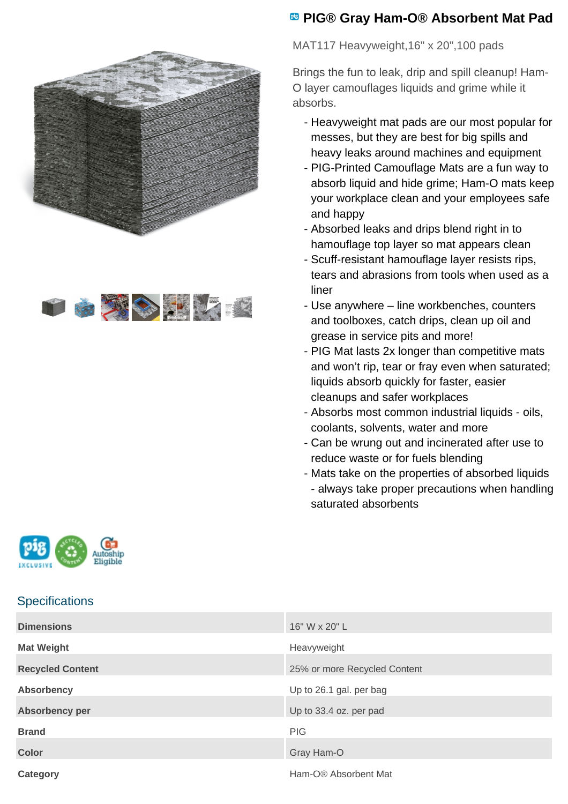



## **PIG® Gray Ham-O® Absorbent Mat Pad**

MAT117 Heavyweight,16" x 20",100 pads

Brings the fun to leak, drip and spill cleanup! Ham-O layer camouflages liquids and grime while it absorbs.

- Heavyweight mat pads are our most popular for messes, but they are best for big spills and heavy leaks around machines and equipment
- PIG-Printed Camouflage Mats are a fun way to absorb liquid and hide grime; Ham-O mats keep your workplace clean and your employees safe and happy
- Absorbed leaks and drips blend right in to hamouflage top layer so mat appears clean
- Scuff-resistant hamouflage layer resists rips, tears and abrasions from tools when used as a liner
- Use anywhere line workbenches, counters and toolboxes, catch drips, clean up oil and grease in service pits and more!
- PIG Mat lasts 2x longer than competitive mats and won't rip, tear or fray even when saturated; liquids absorb quickly for faster, easier cleanups and safer workplaces
- Absorbs most common industrial liquids oils, coolants, solvents, water and more
- Can be wrung out and incinerated after use to reduce waste or for fuels blending
- Mats take on the properties of absorbed liquids - always take proper precautions when handling saturated absorbents



## **Specifications**

| <b>Dimensions</b>       | 16" W x 20" L                |
|-------------------------|------------------------------|
| <b>Mat Weight</b>       | Heavyweight                  |
| <b>Recycled Content</b> | 25% or more Recycled Content |
| <b>Absorbency</b>       | Up to 26.1 gal. per bag      |
| Absorbency per          | Up to 33.4 oz. per pad       |
| <b>Brand</b>            | <b>PIG</b>                   |
| <b>Color</b>            | Gray Ham-O                   |
| Category                | Ham-O® Absorbent Mat         |